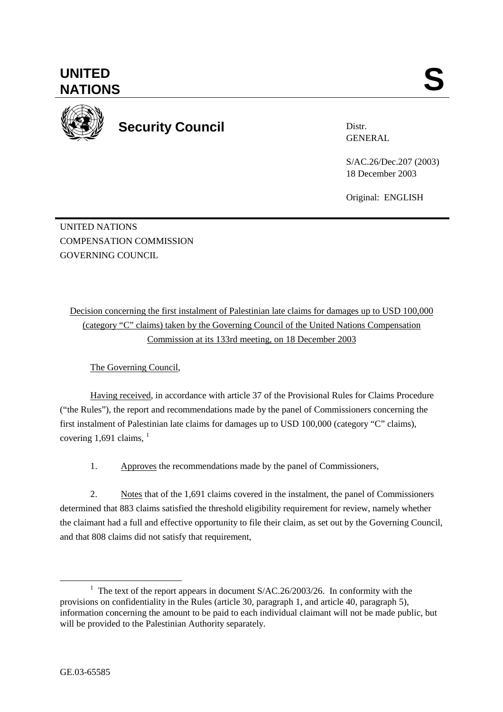

**UNITED** 

**Security Council** 

Distr. GENERAL

S/AC.26/Dec.207 (2003) 18 December 2003

Original: ENGLISH

UNITED NATIONS COMPENSATION COMMISSION GOVERNING COUNCIL

Decision concerning the first instalment of Palestinian late claims for damages up to USD 100,000 (category "C" claims) taken by the Governing Council of the United Nations Compensation Commission at its 133rd meeting, on 18 December 2003

The Governing Council,

Having received, in accordance with article 37 of the Provisional Rules for Claims Procedure ("the Rules"), the report and recommendations made by the panel of Commissioners concerning the first instalment of Palestinian late claims for damages up to USD 100,000 (category "C" claims), covering 1,691 claims,  $<sup>1</sup>$ </sup>

1. Approves the recommendations made by the panel of Commissioners,

2. Notes that of the 1,691 claims covered in the instalment, the panel of Commissioners determined that 883 claims satisfied the threshold eligibility requirement for review, namely whether the claimant had a full and effective opportunity to file their claim, as set out by the Governing Council, and that 808 claims did not satisfy that requirement,